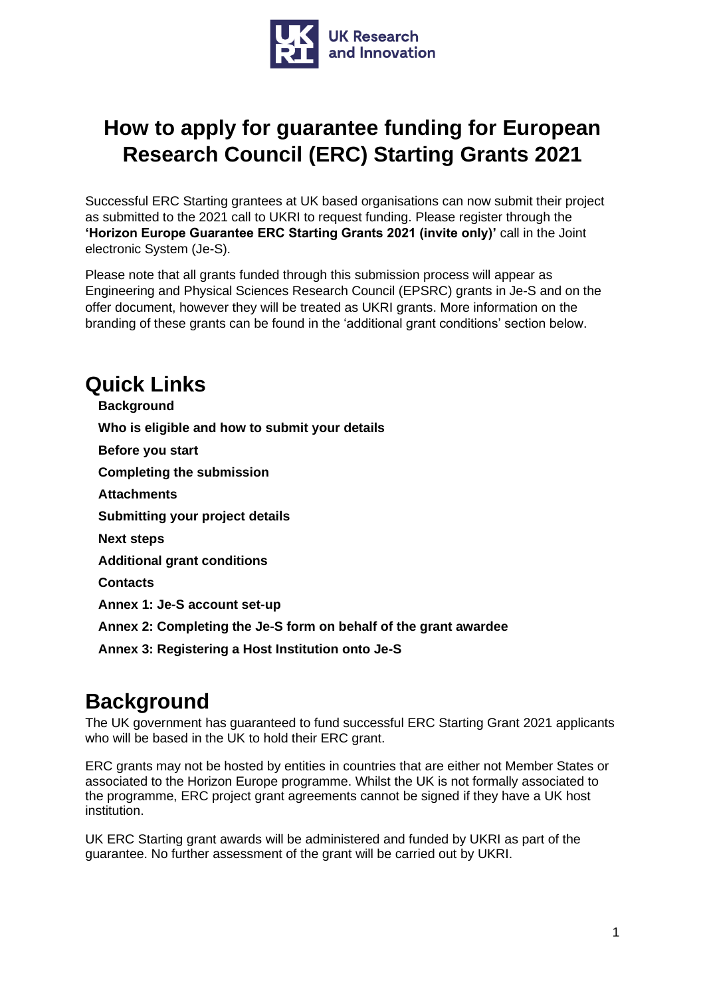

# **How to apply for guarantee funding for European Research Council (ERC) Starting Grants 2021**

Successful ERC Starting grantees at UK based organisations can now submit their project as submitted to the 2021 call to UKRI to request funding. Please register through the **'Horizon Europe Guarantee ERC Starting Grants 2021 (invite only)'** call in the Joint electronic System (Je-S).

Please note that all grants funded through this submission process will appear as Engineering and Physical Sciences Research Council (EPSRC) grants in Je-S and on the offer document, however they will be treated as UKRI grants. More information on the branding of these grants can be found in the 'additional grant conditions' section below.

## **Quick Links**

**[Background](#page-0-0) [Who is eligible and how to submit your details](#page-1-0) [Before you start](#page-1-1) [Completing the submission](#page-3-0) [Attachments](#page-8-0) [Submitting your project details](#page-9-0) [Next steps](#page-9-1) [Additional grant conditions](#page-9-2) [Contacts](#page-10-0) [Annex 1: Je-S account set-up](#page-11-0) [Annex 2: Completing the Je-S form on behalf of the grant awardee](#page-15-0) [Annex 3: Registering a Host Institution onto Je-S](#page-17-0)**

## <span id="page-0-0"></span>**Background**

The UK government has guaranteed to fund successful ERC Starting Grant 2021 applicants who will be based in the UK to hold their ERC grant.

ERC grants may not be hosted by entities in countries that are either not Member States or associated to the Horizon Europe programme. Whilst the UK is not formally associated to the programme, ERC project grant agreements cannot be signed if they have a UK host institution.

UK ERC Starting grant awards will be administered and funded by UKRI as part of the guarantee. No further assessment of the grant will be carried out by UKRI.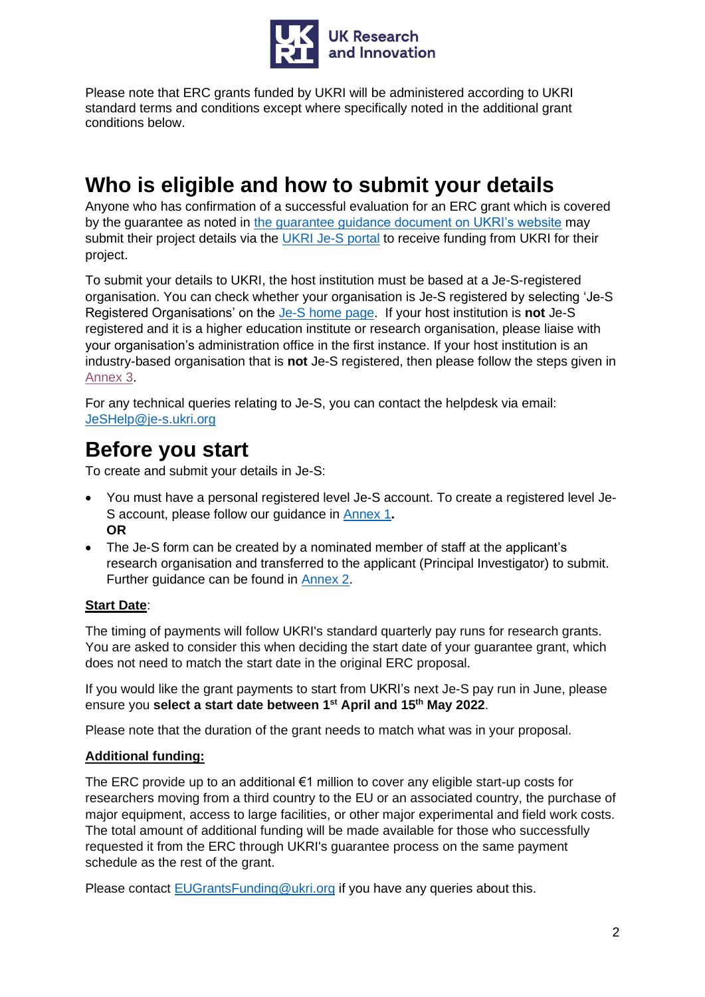

Please note that ERC grants funded by UKRI will be administered according to UKRI standard terms and conditions except where specifically noted in the additional grant conditions below.

# <span id="page-1-0"></span>**Who is eligible and how to submit your details**

Anyone who has confirmation of a successful evaluation for an ERC grant which is covered by the guarantee as noted in [the guarantee guidance document on UKRI's website](https://www.ukri.org/publications/horizon-europe-guarantee-notice-and-guidance/) may submit their project details via the [UKRI Je-S portal](https://je-s.rcuk.ac.uk/JeS2WebLoginSite/Login.aspx) to receive funding from UKRI for their project.

To submit your details to UKRI, the host institution must be based at a Je-S-registered organisation. You can check whether your organisation is Je-S registered by selecting 'Je-S Registered Organisations' on the [Je-S home page.](https://je-s.rcuk.ac.uk/JeS2WebLoginSite/Login.aspx) If your host institution is **not** Je-S registered and it is a higher education institute or research organisation, please liaise with your organisation's administration office in the first instance. If your host institution is an industry-based organisation that is **not** Je-S registered, then please follow the steps given in [Annex 3.](#page-17-0)

For any technical queries relating to Je-S, you can contact the helpdesk via email: [JeSHelp@je-s.ukri.org](mailto:JeSHelp@je-s.ukri.org)

### <span id="page-1-1"></span>**Before you start**

To create and submit your details in Je-S:

- You must have a personal registered level Je-S account. To create a registered level Je-S account, please follow our guidance in [Annex 1](#page-11-0)**. OR**
- The Je-S form can be created by a nominated member of staff at the applicant's research organisation and transferred to the applicant (Principal Investigator) to submit. Further guidance can be found in [Annex 2.](#page-15-1)

### **Start Date**:

The timing of payments will follow UKRI's standard quarterly pay runs for research grants. You are asked to consider this when deciding the start date of your guarantee grant, which does not need to match the start date in the original ERC proposal.

If you would like the grant payments to start from UKRI's next Je-S pay run in June, please ensure you **select a start date between 1 st April and 15th May 2022**.

Please note that the duration of the grant needs to match what was in your proposal.

### **Additional funding:**

The ERC provide up to an additional €1 million to cover any eligible start-up costs for researchers moving from a third country to the EU or an associated country, the purchase of major equipment, access to large facilities, or other major experimental and field work costs. The total amount of additional funding will be made available for those who successfully requested it from the ERC through UKRI's guarantee process on the same payment schedule as the rest of the grant.

Please contact [EUGrantsFunding@ukri.org](https://ukri.sharepoint.com/sites/hestta/Shared%20Documents/Horizon%20Contingencies%20-%202021/Monobeneficiary%20-%20ERC%20and%20MSCA/Je-S%20&%20Siebel%20Related%20Work/Testing/EUGrantsFunding@ukri.org) if you have any queries about this.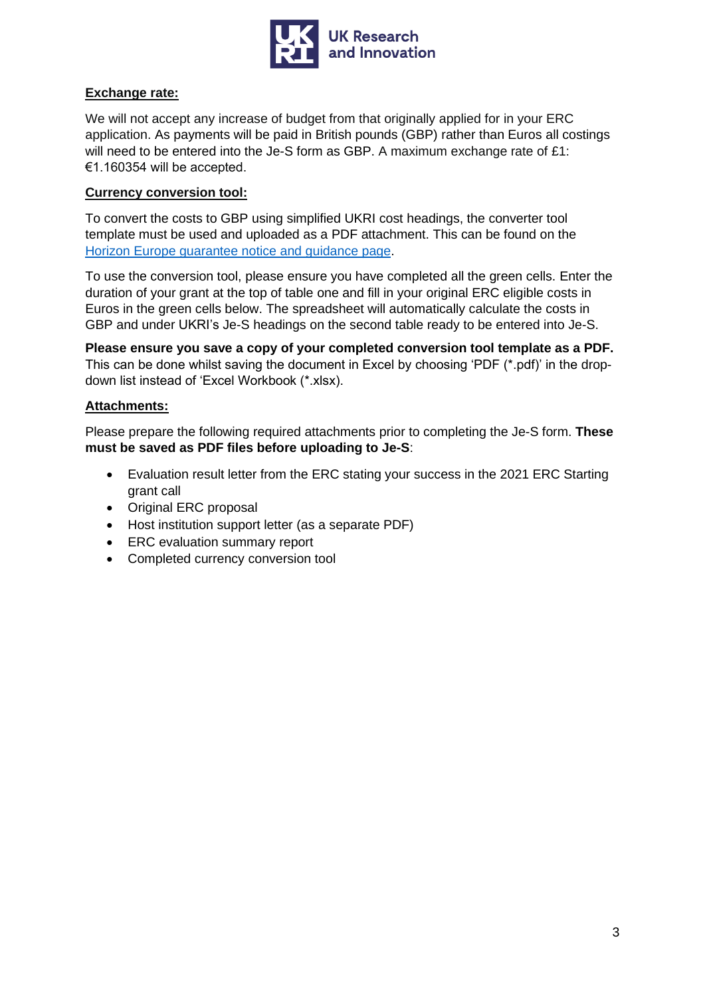

#### **Exchange rate:**

We will not accept any increase of budget from that originally applied for in your ERC application. As payments will be paid in British pounds (GBP) rather than Euros all costings will need to be entered into the Je-S form as GBP. A maximum exchange rate of £1: €1.160354 will be accepted.

#### **Currency conversion tool:**

To convert the costs to GBP using simplified UKRI cost headings, the converter tool template must be used and uploaded as a PDF attachment. This can be found on the [Horizon Europe guarantee notice and guidance page.](https://www.ukri.org/publications/horizon-europe-guarantee-notice-and-guidance/)

To use the conversion tool, please ensure you have completed all the green cells. Enter the duration of your grant at the top of table one and fill in your original ERC eligible costs in Euros in the green cells below. The spreadsheet will automatically calculate the costs in GBP and under UKRI's Je-S headings on the second table ready to be entered into Je-S.

**Please ensure you save a copy of your completed conversion tool template as a PDF.** This can be done whilst saving the document in Excel by choosing 'PDF (\*.pdf)' in the dropdown list instead of 'Excel Workbook (\*.xlsx).

#### **Attachments:**

Please prepare the following required attachments prior to completing the Je-S form. **These must be saved as PDF files before uploading to Je-S**:

- Evaluation result letter from the ERC stating your success in the 2021 ERC Starting grant call
- Original ERC proposal
- Host institution support letter (as a separate PDF)
- ERC evaluation summary report
- Completed currency conversion tool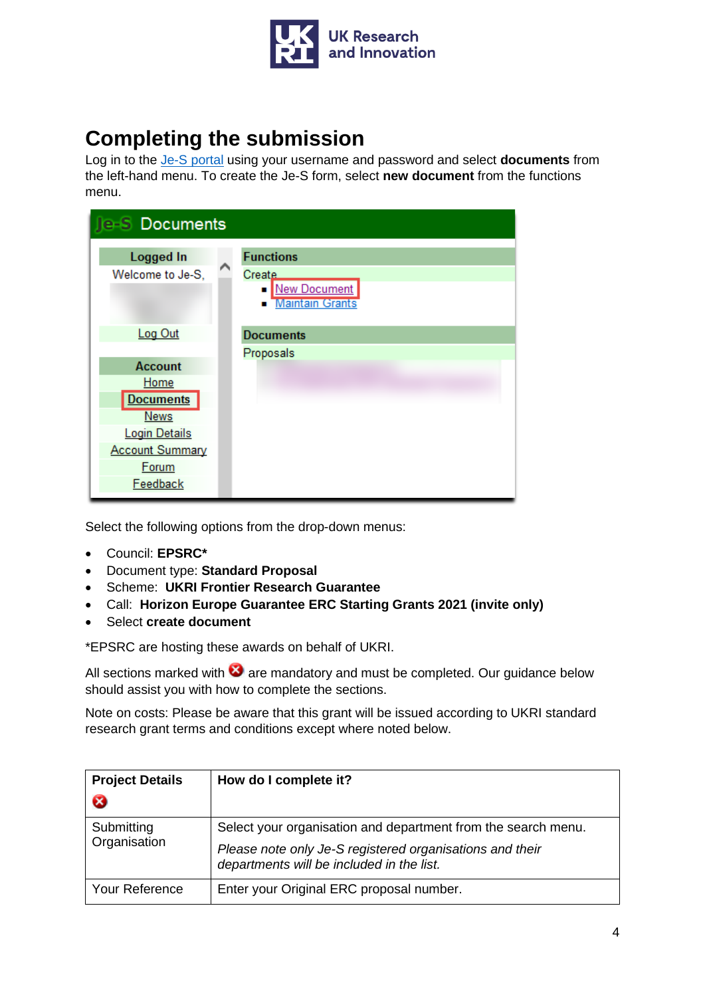

# <span id="page-3-0"></span>**Completing the submission**

Log in to the [Je-S portal](https://je-s.rcuk.ac.uk/JeS2WebLoginSite/Login.aspx) using your username and password and select **documents** from the left-hand menu. To create the Je-S form, select **new document** from the functions menu.

| <b>Je-S Documents</b>                       |                                                                                               |
|---------------------------------------------|-----------------------------------------------------------------------------------------------|
| <b>Logged In</b><br>Welcome to Je-S,        | <b>Functions</b><br>Create<br><b>New Document</b><br>$\blacksquare$<br><b>Maintain Grants</b> |
| Log Out                                     | <b>Documents</b><br>Proposals                                                                 |
| <b>Account</b><br>Home                      |                                                                                               |
| <b>Documents</b><br><b>News</b>             |                                                                                               |
| <b>Login Details</b>                        |                                                                                               |
| <b>Account Summary</b><br>Forum<br>Feedback |                                                                                               |

Select the following options from the drop-down menus:

- Council: **EPSRC\***
- Document type: **Standard Proposal**
- Scheme: **UKRI Frontier Research Guarantee**
- Call: **Horizon Europe Guarantee ERC Starting Grants 2021 (invite only)**
- Select **create document**

\*EPSRC are hosting these awards on behalf of UKRI.

All sections marked with  $\bigcirc$  are mandatory and must be completed. Our guidance below should assist you with how to complete the sections.

Note on costs: Please be aware that this grant will be issued according to UKRI standard research grant terms and conditions except where noted below.

| <b>Project Details</b><br>❸ | How do I complete it?                                                                                                                                                  |
|-----------------------------|------------------------------------------------------------------------------------------------------------------------------------------------------------------------|
| Submitting<br>Organisation  | Select your organisation and department from the search menu.<br>Please note only Je-S registered organisations and their<br>departments will be included in the list. |
| <b>Your Reference</b>       | Enter your Original ERC proposal number.                                                                                                                               |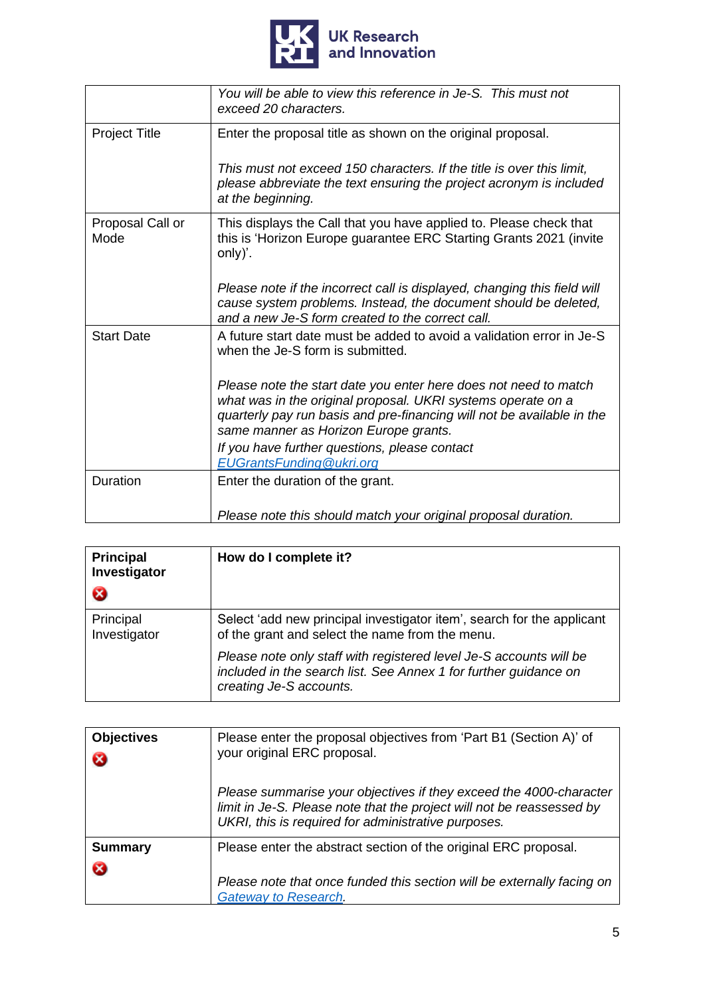

|                          | You will be able to view this reference in Je-S. This must not<br>exceed 20 characters.                                                                                                                                                             |
|--------------------------|-----------------------------------------------------------------------------------------------------------------------------------------------------------------------------------------------------------------------------------------------------|
| <b>Project Title</b>     | Enter the proposal title as shown on the original proposal.                                                                                                                                                                                         |
|                          | This must not exceed 150 characters. If the title is over this limit,<br>please abbreviate the text ensuring the project acronym is included<br>at the beginning.                                                                                   |
| Proposal Call or<br>Mode | This displays the Call that you have applied to. Please check that<br>this is 'Horizon Europe guarantee ERC Starting Grants 2021 (invite<br>only)'.                                                                                                 |
|                          | Please note if the incorrect call is displayed, changing this field will<br>cause system problems. Instead, the document should be deleted,<br>and a new Je-S form created to the correct call.                                                     |
| <b>Start Date</b>        | A future start date must be added to avoid a validation error in Je-S<br>when the Je-S form is submitted.                                                                                                                                           |
|                          | Please note the start date you enter here does not need to match<br>what was in the original proposal. UKRI systems operate on a<br>quarterly pay run basis and pre-financing will not be available in the<br>same manner as Horizon Europe grants. |
|                          | If you have further questions, please contact<br><b>EUGrantsFunding @ukri.org</b>                                                                                                                                                                   |
| Duration                 | Enter the duration of the grant.                                                                                                                                                                                                                    |
|                          | Please note this should match your original proposal duration.                                                                                                                                                                                      |

| <b>Principal</b><br>Investigator<br>ೞ | How do I complete it?                                                                                                                                             |
|---------------------------------------|-------------------------------------------------------------------------------------------------------------------------------------------------------------------|
| Principal<br>Investigator             | Select 'add new principal investigator item', search for the applicant<br>of the grant and select the name from the menu.                                         |
|                                       | Please note only staff with registered level Je-S accounts will be<br>included in the search list. See Annex 1 for further guidance on<br>creating Je-S accounts. |

| <b>Objectives</b><br>ೞ | Please enter the proposal objectives from 'Part B1 (Section A)' of<br>your original ERC proposal.                                                                                                  |
|------------------------|----------------------------------------------------------------------------------------------------------------------------------------------------------------------------------------------------|
|                        | Please summarise your objectives if they exceed the 4000-character<br>limit in Je-S. Please note that the project will not be reassessed by<br>UKRI, this is required for administrative purposes. |
| <b>Summary</b><br>Ø    | Please enter the abstract section of the original ERC proposal.                                                                                                                                    |
|                        | Please note that once funded this section will be externally facing on<br><b>Gateway to Research.</b>                                                                                              |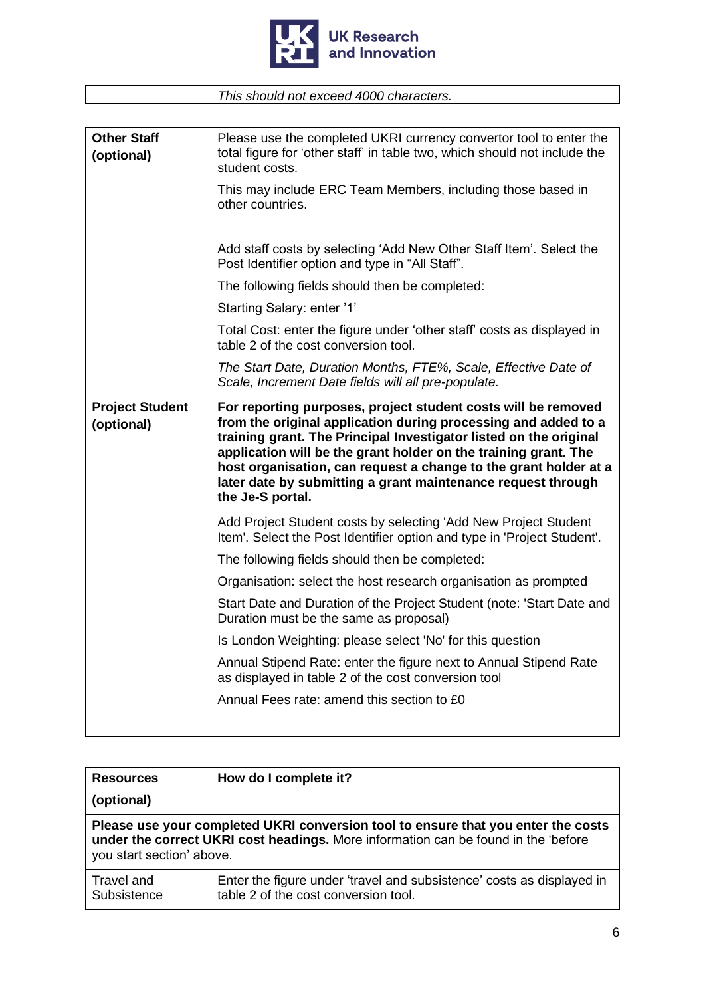

| This should not exceed 4000 characters. |
|-----------------------------------------|
|                                         |

| <b>Other Staff</b><br>(optional)     | Please use the completed UKRI currency convertor tool to enter the<br>total figure for 'other staff' in table two, which should not include the<br>student costs.<br>This may include ERC Team Members, including those based in<br>other countries.                                         |
|--------------------------------------|----------------------------------------------------------------------------------------------------------------------------------------------------------------------------------------------------------------------------------------------------------------------------------------------|
|                                      |                                                                                                                                                                                                                                                                                              |
|                                      | Add staff costs by selecting 'Add New Other Staff Item'. Select the<br>Post Identifier option and type in "All Staff".                                                                                                                                                                       |
|                                      | The following fields should then be completed:                                                                                                                                                                                                                                               |
|                                      | Starting Salary: enter '1'                                                                                                                                                                                                                                                                   |
|                                      | Total Cost: enter the figure under 'other staff' costs as displayed in<br>table 2 of the cost conversion tool.                                                                                                                                                                               |
|                                      | The Start Date, Duration Months, FTE%, Scale, Effective Date of<br>Scale, Increment Date fields will all pre-populate.                                                                                                                                                                       |
| <b>Project Student</b><br>(optional) | For reporting purposes, project student costs will be removed<br>from the original application during processing and added to a                                                                                                                                                              |
|                                      | training grant. The Principal Investigator listed on the original<br>application will be the grant holder on the training grant. The<br>host organisation, can request a change to the grant holder at a<br>later date by submitting a grant maintenance request through<br>the Je-S portal. |
|                                      | Add Project Student costs by selecting 'Add New Project Student<br>Item'. Select the Post Identifier option and type in 'Project Student'.                                                                                                                                                   |
|                                      | The following fields should then be completed:                                                                                                                                                                                                                                               |
|                                      | Organisation: select the host research organisation as prompted                                                                                                                                                                                                                              |
|                                      | Start Date and Duration of the Project Student (note: 'Start Date and<br>Duration must be the same as proposal)                                                                                                                                                                              |
|                                      | Is London Weighting: please select 'No' for this question                                                                                                                                                                                                                                    |
|                                      | Annual Stipend Rate: enter the figure next to Annual Stipend Rate<br>as displayed in table 2 of the cost conversion tool                                                                                                                                                                     |
|                                      | Annual Fees rate: amend this section to £0                                                                                                                                                                                                                                                   |

| <b>Resources</b><br>(optional)                                                                                                                                                                       | How do I complete it?                                                                                         |
|------------------------------------------------------------------------------------------------------------------------------------------------------------------------------------------------------|---------------------------------------------------------------------------------------------------------------|
| Please use your completed UKRI conversion tool to ensure that you enter the costs<br>under the correct UKRI cost headings. More information can be found in the 'before<br>you start section' above. |                                                                                                               |
| Travel and<br>Subsistence                                                                                                                                                                            | Enter the figure under 'travel and subsistence' costs as displayed in<br>table 2 of the cost conversion tool. |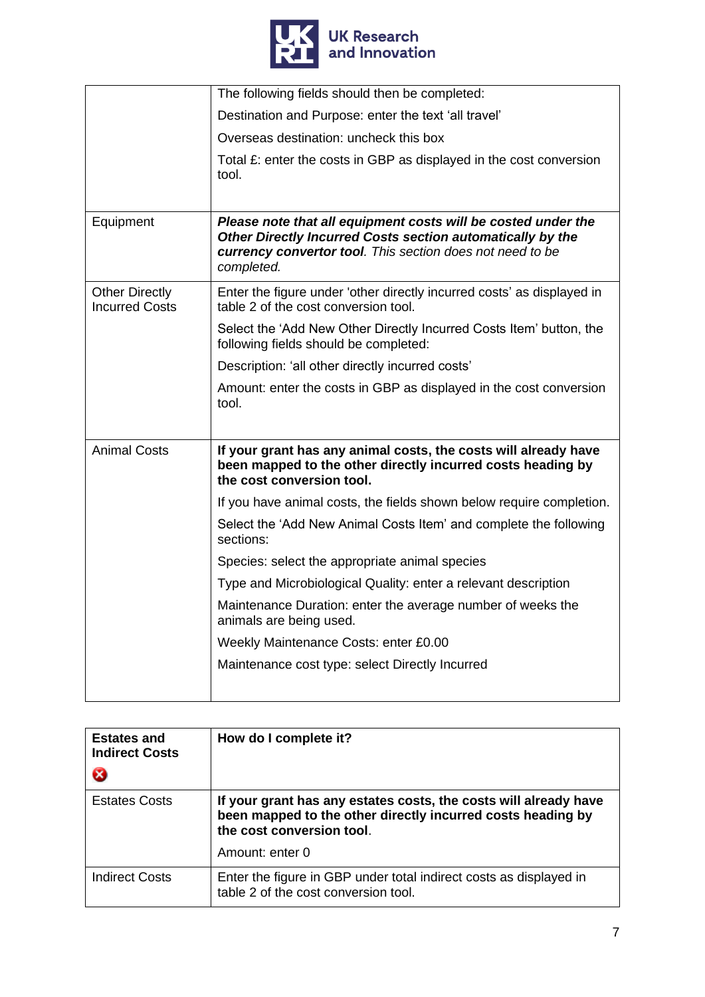

|                                                | The following fields should then be completed:                                                                                                                                                         |
|------------------------------------------------|--------------------------------------------------------------------------------------------------------------------------------------------------------------------------------------------------------|
|                                                | Destination and Purpose: enter the text 'all travel'                                                                                                                                                   |
|                                                | Overseas destination: uncheck this box                                                                                                                                                                 |
|                                                | Total $E$ : enter the costs in GBP as displayed in the cost conversion<br>tool.                                                                                                                        |
| Equipment                                      | Please note that all equipment costs will be costed under the<br>Other Directly Incurred Costs section automatically by the<br>currency convertor tool. This section does not need to be<br>completed. |
| <b>Other Directly</b><br><b>Incurred Costs</b> | Enter the figure under 'other directly incurred costs' as displayed in<br>table 2 of the cost conversion tool.                                                                                         |
|                                                | Select the 'Add New Other Directly Incurred Costs Item' button, the<br>following fields should be completed:                                                                                           |
|                                                | Description: 'all other directly incurred costs'                                                                                                                                                       |
|                                                | Amount: enter the costs in GBP as displayed in the cost conversion<br>tool.                                                                                                                            |
| <b>Animal Costs</b>                            | If your grant has any animal costs, the costs will already have<br>been mapped to the other directly incurred costs heading by<br>the cost conversion tool.                                            |
|                                                | If you have animal costs, the fields shown below require completion.                                                                                                                                   |
|                                                | Select the 'Add New Animal Costs Item' and complete the following<br>sections:                                                                                                                         |
|                                                | Species: select the appropriate animal species                                                                                                                                                         |
|                                                | Type and Microbiological Quality: enter a relevant description                                                                                                                                         |
|                                                | Maintenance Duration: enter the average number of weeks the<br>animals are being used.                                                                                                                 |
|                                                | Weekly Maintenance Costs: enter £0.00                                                                                                                                                                  |
|                                                | Maintenance cost type: select Directly Incurred                                                                                                                                                        |

| <b>Estates and</b><br><b>Indirect Costs</b><br>ೞ | How do I complete it?                                                                                                                                        |
|--------------------------------------------------|--------------------------------------------------------------------------------------------------------------------------------------------------------------|
| <b>Estates Costs</b>                             | If your grant has any estates costs, the costs will already have<br>been mapped to the other directly incurred costs heading by<br>the cost conversion tool. |
|                                                  | Amount: enter 0                                                                                                                                              |
| Indirect Costs                                   | Enter the figure in GBP under total indirect costs as displayed in<br>table 2 of the cost conversion tool.                                                   |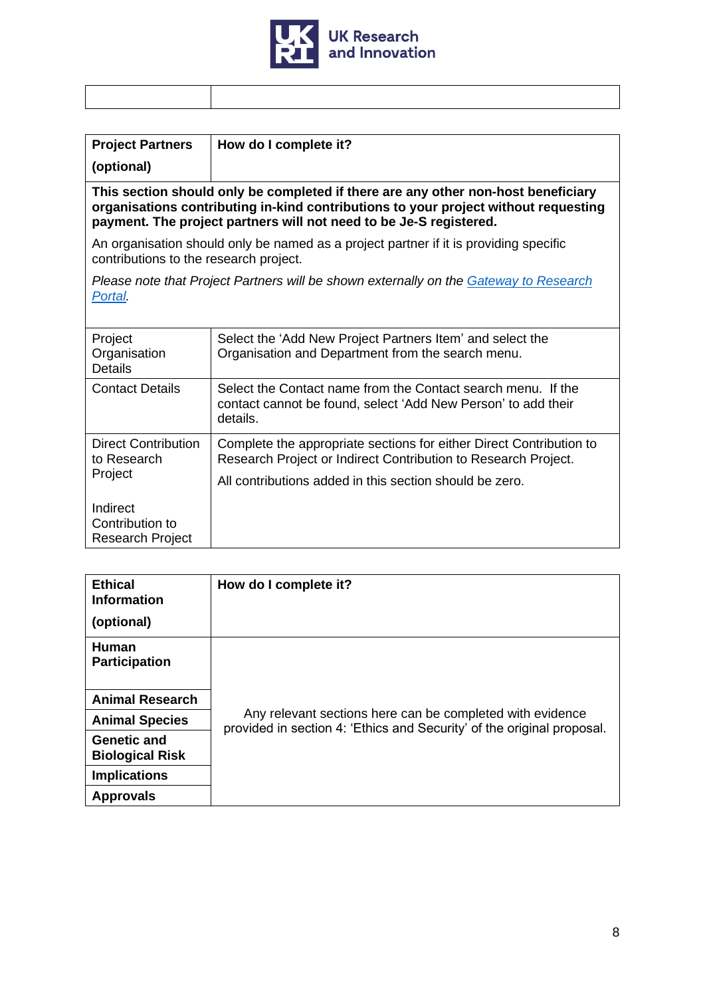

| <b>Project Partners</b>                                                                                                                                                                                                                        | How do I complete it?                                                                                                                     |  |
|------------------------------------------------------------------------------------------------------------------------------------------------------------------------------------------------------------------------------------------------|-------------------------------------------------------------------------------------------------------------------------------------------|--|
| (optional)                                                                                                                                                                                                                                     |                                                                                                                                           |  |
| This section should only be completed if there are any other non-host beneficiary<br>organisations contributing in-kind contributions to your project without requesting<br>payment. The project partners will not need to be Je-S registered. |                                                                                                                                           |  |
| contributions to the research project.                                                                                                                                                                                                         | An organisation should only be named as a project partner if it is providing specific                                                     |  |
| Portal.                                                                                                                                                                                                                                        | Please note that Project Partners will be shown externally on the <u>Gateway to Research</u>                                              |  |
| Project<br>Organisation<br>Details                                                                                                                                                                                                             | Select the 'Add New Project Partners Item' and select the<br>Organisation and Department from the search menu.                            |  |
| <b>Contact Details</b>                                                                                                                                                                                                                         | Select the Contact name from the Contact search menu. If the<br>contact cannot be found, select 'Add New Person' to add their<br>details. |  |
| <b>Direct Contribution</b><br>to Research<br>Project                                                                                                                                                                                           | Complete the appropriate sections for either Direct Contribution to<br>Research Project or Indirect Contribution to Research Project.     |  |
|                                                                                                                                                                                                                                                | All contributions added in this section should be zero.                                                                                   |  |
| Indirect<br>Contribution to<br>Research Project                                                                                                                                                                                                |                                                                                                                                           |  |

| <b>Ethical</b><br><b>Information</b><br>(optional) | How do I complete it?                                                                                                               |  |
|----------------------------------------------------|-------------------------------------------------------------------------------------------------------------------------------------|--|
| <b>Human</b><br><b>Participation</b>               |                                                                                                                                     |  |
| <b>Animal Research</b>                             |                                                                                                                                     |  |
| <b>Animal Species</b>                              | Any relevant sections here can be completed with evidence<br>provided in section 4: 'Ethics and Security' of the original proposal. |  |
| <b>Genetic and</b><br><b>Biological Risk</b>       |                                                                                                                                     |  |
| <b>Implications</b>                                |                                                                                                                                     |  |
| <b>Approvals</b>                                   |                                                                                                                                     |  |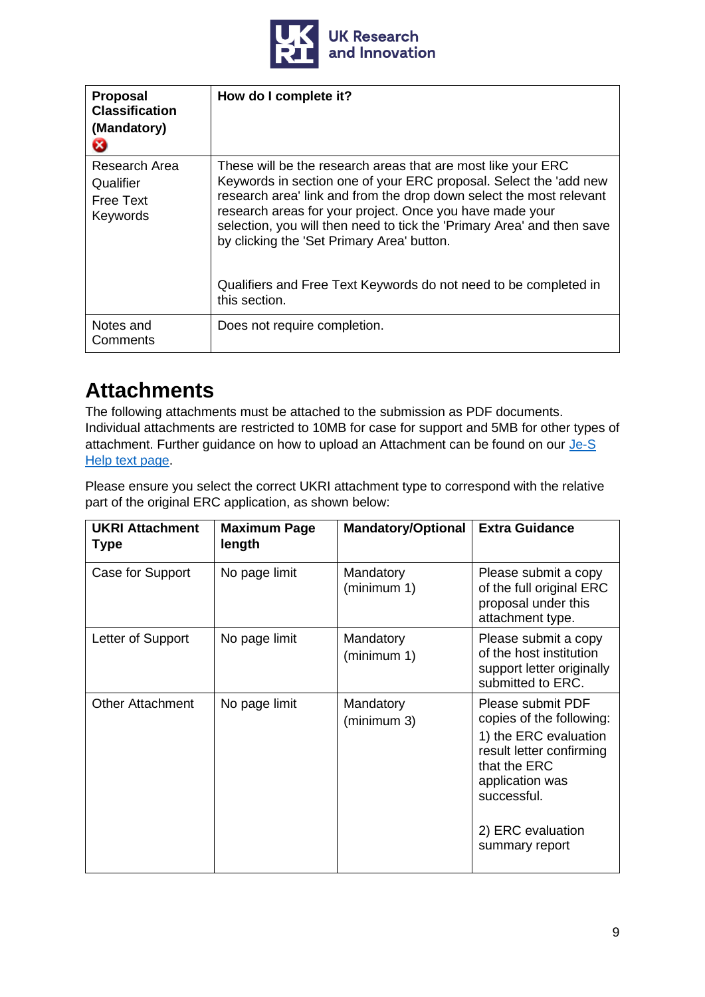

| <b>Proposal</b><br><b>Classification</b><br>(Mandatory)<br>Ø | How do I complete it?                                                                                                                                                                                                                                                                                                                                                                                                                                                             |
|--------------------------------------------------------------|-----------------------------------------------------------------------------------------------------------------------------------------------------------------------------------------------------------------------------------------------------------------------------------------------------------------------------------------------------------------------------------------------------------------------------------------------------------------------------------|
| Research Area<br>Qualifier<br><b>Free Text</b><br>Keywords   | These will be the research areas that are most like your ERC<br>Keywords in section one of your ERC proposal. Select the 'add new<br>research area' link and from the drop down select the most relevant<br>research areas for your project. Once you have made your<br>selection, you will then need to tick the 'Primary Area' and then save<br>by clicking the 'Set Primary Area' button.<br>Qualifiers and Free Text Keywords do not need to be completed in<br>this section. |
| Notes and<br>Comments                                        | Does not require completion.                                                                                                                                                                                                                                                                                                                                                                                                                                                      |

# <span id="page-8-0"></span>**Attachments**

The following attachments must be attached to the submission as PDF documents. Individual attachments are restricted to 10MB for case for support and 5MB for other types of attachment. Further guidance on how to upload an Attachment can be found on our [Je-S](https://je-s.rcuk.ac.uk/Handbook/pages/Generaldocumentactions/Attachments.htm) Help [text page.](https://je-s.rcuk.ac.uk/Handbook/pages/Generaldocumentactions/Attachments.htm)

Please ensure you select the correct UKRI attachment type to correspond with the relative part of the original ERC application, as shown below:

| <b>UKRI Attachment</b><br><b>Type</b> | <b>Maximum Page</b><br>length | <b>Mandatory/Optional</b> | <b>Extra Guidance</b>                                                                                                                                                                       |
|---------------------------------------|-------------------------------|---------------------------|---------------------------------------------------------------------------------------------------------------------------------------------------------------------------------------------|
| Case for Support                      | No page limit                 | Mandatory<br>(minimum 1)  | Please submit a copy<br>of the full original ERC<br>proposal under this<br>attachment type.                                                                                                 |
| Letter of Support                     | No page limit                 | Mandatory<br>(minimum 1)  | Please submit a copy<br>of the host institution<br>support letter originally<br>submitted to ERC.                                                                                           |
| <b>Other Attachment</b>               | No page limit                 | Mandatory<br>(minimum 3)  | Please submit PDF<br>copies of the following:<br>1) the ERC evaluation<br>result letter confirming<br>that the ERC<br>application was<br>successful.<br>2) ERC evaluation<br>summary report |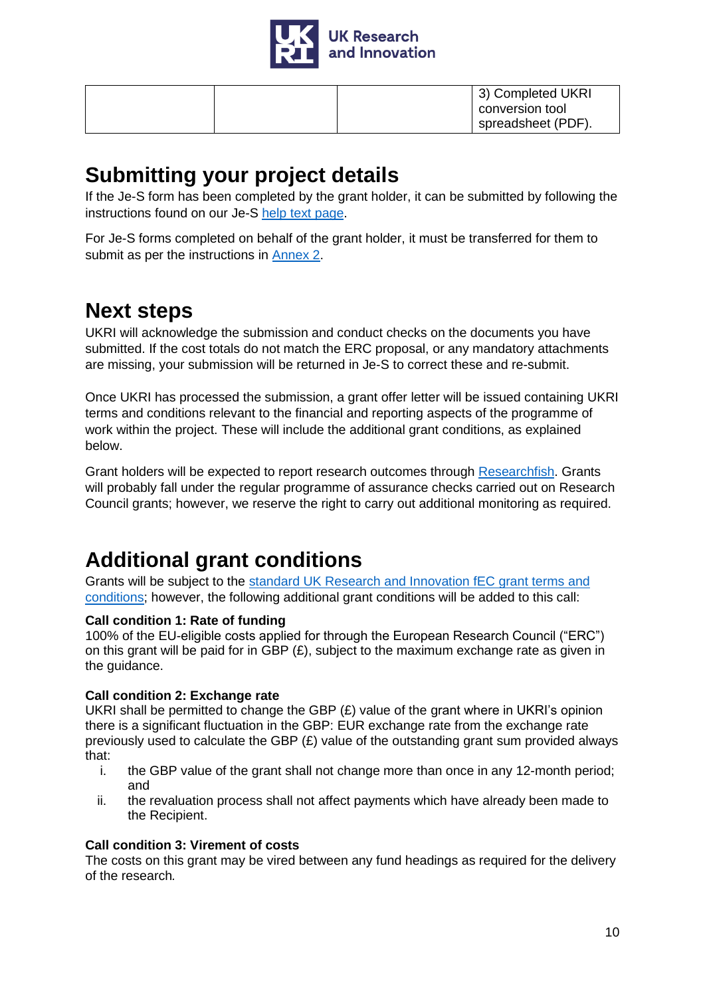

| 3) Completed UKRI  |
|--------------------|
| conversion tool    |
| spreadsheet (PDF). |

### <span id="page-9-0"></span>**Submitting your project details**

If the Je-S form has been completed by the grant holder, it can be submitted by following the instructions found on our Je-S help [text page.](https://je-s.rcuk.ac.uk/Handbook/pages/Generaldocumentactions/SubmitDocument.htm)

For Je-S forms completed on behalf of the grant holder, it must be transferred for them to submit as per the instructions in [Annex 2.](#page-15-1)

# <span id="page-9-1"></span>**Next steps**

UKRI will acknowledge the submission and conduct checks on the documents you have submitted. If the cost totals do not match the ERC proposal, or any mandatory attachments are missing, your submission will be returned in Je-S to correct these and re-submit.

Once UKRI has processed the submission, a grant offer letter will be issued containing UKRI terms and conditions relevant to the financial and reporting aspects of the programme of work within the project. These will include the additional grant conditions, as explained below.

Grant holders will be expected to report research outcomes through [Researchfish.](https://www.ukri.org/manage-your-award/reporting-your-projects-outcomes/) Grants will probably fall under the regular programme of assurance checks carried out on Research Council grants; however, we reserve the right to carry out additional monitoring as required.

# <span id="page-9-2"></span>**Additional grant conditions**

Grants will be subject to the [standard UK Research and Innovation fEC grant terms and](https://www.ukri.org/funding/information-for-award-holders/grant-terms-and-conditions/)  [conditions;](https://www.ukri.org/funding/information-for-award-holders/grant-terms-and-conditions/) however, the following additional grant conditions will be added to this call:

### **Call condition 1: Rate of funding**

100% of the EU-eligible costs applied for through the European Research Council ("ERC") on this grant will be paid for in GBP (£), subject to the maximum exchange rate as given in the guidance.

### **Call condition 2: Exchange rate**

UKRI shall be permitted to change the GBP (£) value of the grant where in UKRI's opinion there is a significant fluctuation in the GBP: EUR exchange rate from the exchange rate previously used to calculate the GBP  $(E)$  value of the outstanding grant sum provided always that:

- i. the GBP value of the grant shall not change more than once in any 12-month period; and
- ii. the revaluation process shall not affect payments which have already been made to the Recipient.

### **Call condition 3: Virement of costs**

The costs on this grant may be vired between any fund headings as required for the delivery of the research*.*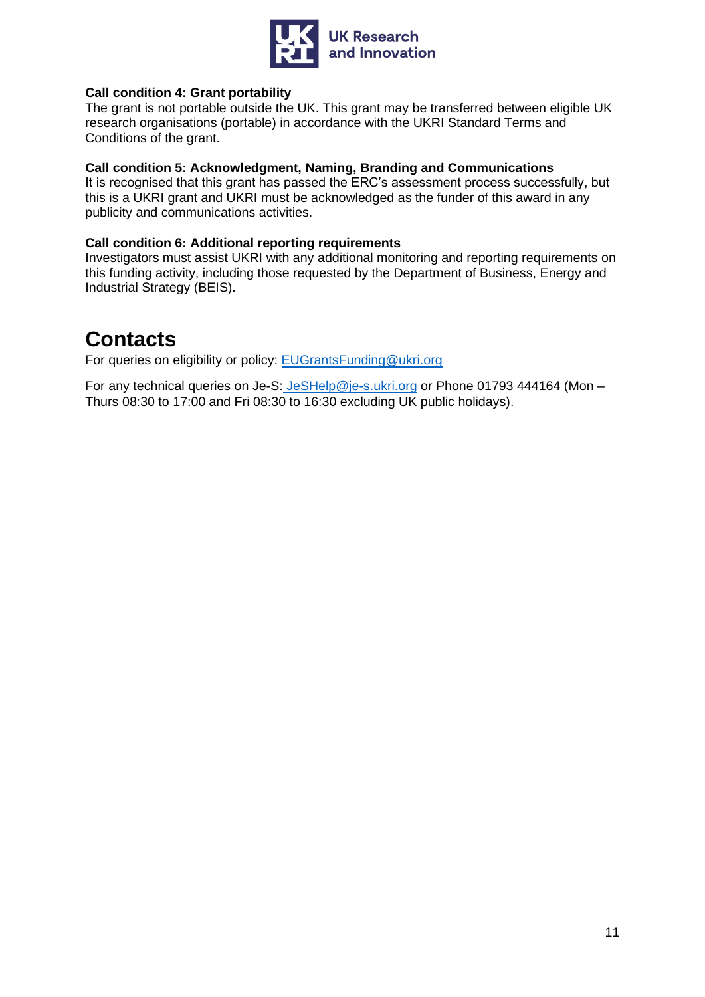

#### **Call condition 4: Grant portability**

The grant is not portable outside the UK. This grant may be transferred between eligible UK research organisations (portable) in accordance with the UKRI Standard Terms and Conditions of the grant.

#### **Call condition 5: Acknowledgment, Naming, Branding and Communications**

It is recognised that this grant has passed the ERC's assessment process successfully, but this is a UKRI grant and UKRI must be acknowledged as the funder of this award in any publicity and communications activities.

#### **Call condition 6: Additional reporting requirements**

Investigators must assist UKRI with any additional monitoring and reporting requirements on this funding activity, including those requested by the Department of Business, Energy and Industrial Strategy (BEIS).

### <span id="page-10-0"></span>**Contacts**

For queries on eligibility or policy: EUGrantsFunding@ukri.org

For any technical queries on Je-S: [JeSHelp@je-s.ukri.org](mailto:JeSHelp@je-s.ukri.org) or Phone 01793 444164 (Mon – Thurs 08:30 to 17:00 and Fri 08:30 to 16:30 excluding UK public holidays).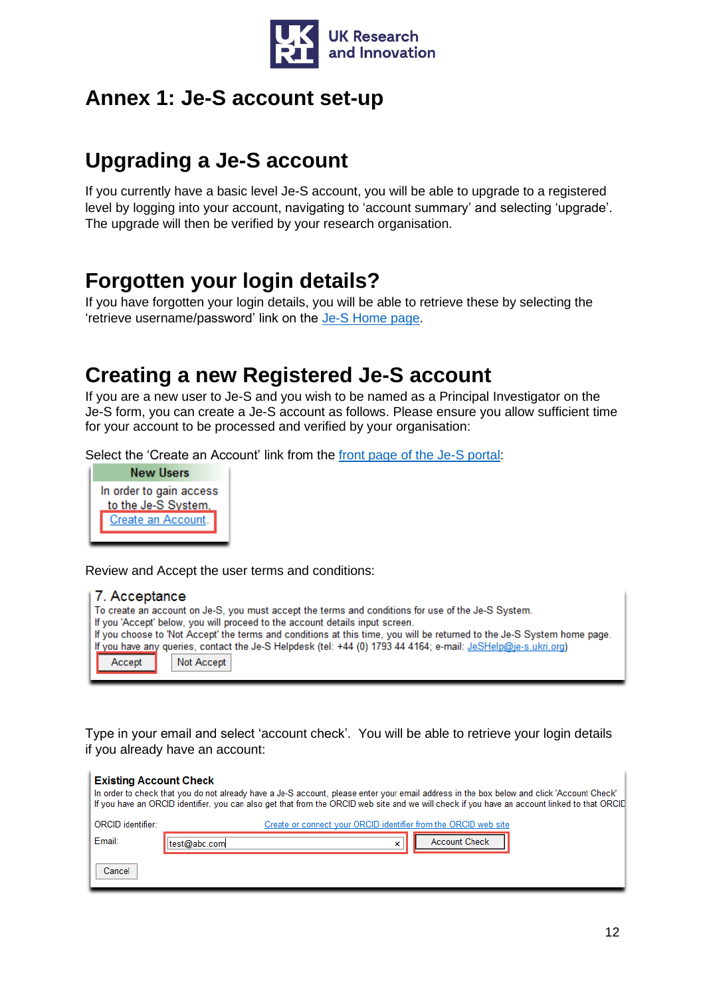

### <span id="page-11-0"></span>**Annex 1: Je-S account set-up**

## **Upgrading a Je-S account**

If you currently have a basic level Je-S account, you will be able to upgrade to a registered level by logging into your account, navigating to 'account summary' and selecting 'upgrade'. The upgrade will then be verified by your research organisation.

## **Forgotten your login details?**

If you have forgotten your login details, you will be able to retrieve these by selecting the 'retrieve username/password' link on the [Je-S Home page.](https://je-s.rcuk.ac.uk/JeS2WebLoginSite/Login.aspx)

### **Creating a new Registered Je-S account**

If you are a new user to Je-S and you wish to be named as a Principal Investigator on the Je-S form, you can create a Je-S account as follows. Please ensure you allow sufficient time for your account to be processed and verified by your organisation:

Select the 'Create an Account' link from the [front page of the Je-S portal:](https://je-s.rcuk.ac.uk/JeS2WebLoginSite/Login.aspx)



Review and Accept the user terms and conditions:

#### 7 Acceptance

| To create an account on Je-S, you must accept the terms and conditions for use of the Je-S System.                      |  |  |  |
|-------------------------------------------------------------------------------------------------------------------------|--|--|--|
| If you 'Accept' below, you will proceed to the account details input screen.                                            |  |  |  |
| If you choose to 'Not Accept' the terms and conditions at this time, you will be returned to the Je-S System home page. |  |  |  |
| If you have any queries, contact the Je-S Helpdesk (tel: +44 (0) 1793 44 4164; e-mail: JeSHelp@je-s.ukri.org)           |  |  |  |
| Accept<br>Not Accept                                                                                                    |  |  |  |

Type in your email and select 'account check'. You will be able to retrieve your login details if you already have an account:

| <b>Existing Account Check</b> | In order to check that you do not already have a Je-S account, please enter your email address in the box below and click 'Account Check'<br>If you have an ORCID identifier, you can also get that from the ORCID web site and we will check if you have an account linked to that ORCID |
|-------------------------------|-------------------------------------------------------------------------------------------------------------------------------------------------------------------------------------------------------------------------------------------------------------------------------------------|
| ORCID identifier:             | Create or connect your ORCID identifier from the ORCID web site                                                                                                                                                                                                                           |
| Email:                        | <b>Account Check</b><br>test@abc.com<br>×                                                                                                                                                                                                                                                 |
| Cancel                        |                                                                                                                                                                                                                                                                                           |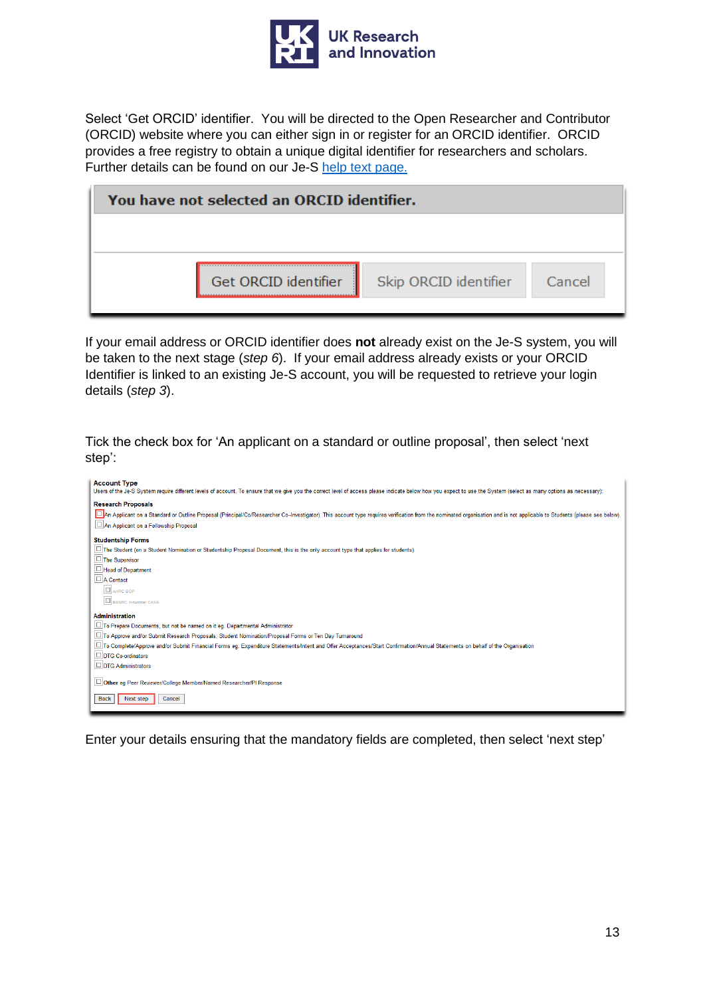

Select 'Get ORCID' identifier. You will be directed to the Open Researcher and Contributor (ORCID) website where you can either sign in or register for an ORCID identifier. ORCID provides a free registry to obtain a unique digital identifier for researchers and scholars. Further details can be found on our Je-S [help text page.](https://je-s.rcuk.ac.uk/Handbook/pages/SettingupaJeSaccount/SettingupaJeSaccount.htm#ORCID_Identifier1)

| You have not selected an ORCID identifier. |                      |                       |        |  |
|--------------------------------------------|----------------------|-----------------------|--------|--|
|                                            |                      |                       |        |  |
|                                            | Get ORCID identifier | Skip ORCID identifier | Cancel |  |

If your email address or ORCID identifier does **not** already exist on the Je-S system, you will be taken to the next stage (*step 6*). If your email address already exists or your ORCID Identifier is linked to an existing Je-S account, you will be requested to retrieve your login details (*step 3*).

Tick the check box for 'An applicant on a standard or outline proposal', then select 'next step':



Enter your details ensuring that the mandatory fields are completed, then select 'next step'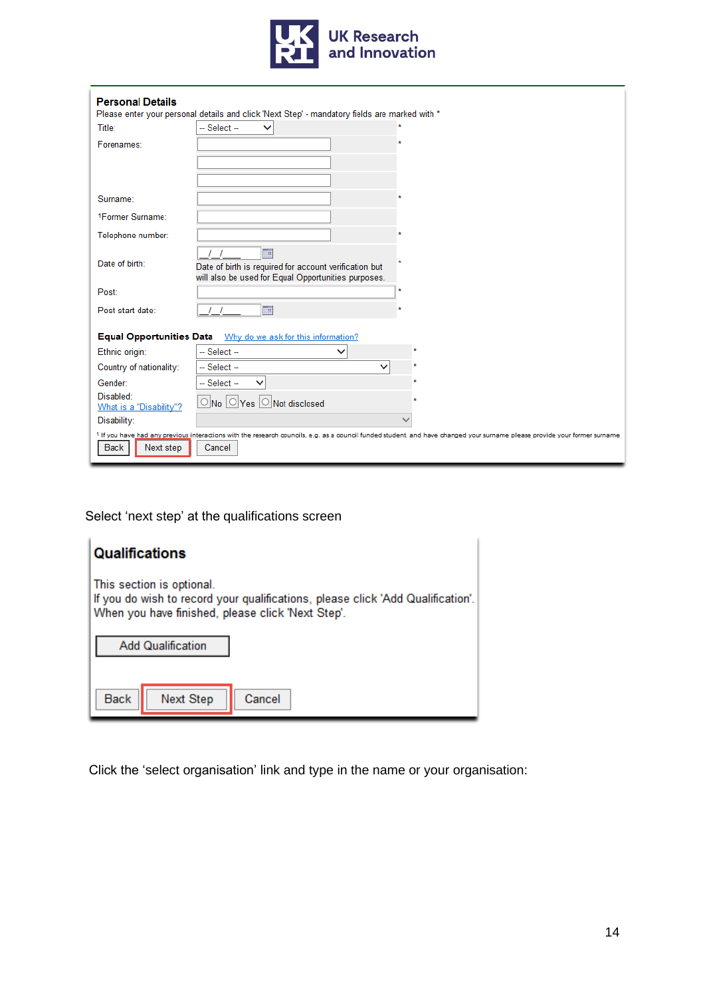

| <b>Personal Details</b><br>Please enter your personal details and click 'Next Step' - mandatory fields are marked with *                                                                                         |                                                                                                                      |  |  |  |
|------------------------------------------------------------------------------------------------------------------------------------------------------------------------------------------------------------------|----------------------------------------------------------------------------------------------------------------------|--|--|--|
| Title:                                                                                                                                                                                                           | -- Select --<br>$\checkmark$                                                                                         |  |  |  |
| Forenames:                                                                                                                                                                                                       |                                                                                                                      |  |  |  |
|                                                                                                                                                                                                                  |                                                                                                                      |  |  |  |
|                                                                                                                                                                                                                  |                                                                                                                      |  |  |  |
| Surname:                                                                                                                                                                                                         |                                                                                                                      |  |  |  |
| 1Former Surname:                                                                                                                                                                                                 |                                                                                                                      |  |  |  |
| Telephone number:                                                                                                                                                                                                |                                                                                                                      |  |  |  |
| Date of birth:                                                                                                                                                                                                   | ma.<br>Date of birth is required for account verification but<br>will also be used for Equal Opportunities purposes. |  |  |  |
| Post:                                                                                                                                                                                                            | $\star$                                                                                                              |  |  |  |
| Post start date:                                                                                                                                                                                                 | <b>HH</b>                                                                                                            |  |  |  |
| <b>Equal Opportunities Data</b><br>Why do we ask for this information?                                                                                                                                           |                                                                                                                      |  |  |  |
| Ethnic origin:                                                                                                                                                                                                   | $-$ Select $-$<br>◡                                                                                                  |  |  |  |
| Country of nationality:                                                                                                                                                                                          | $-$ Select $-$<br>$\checkmark$                                                                                       |  |  |  |
| Gender:                                                                                                                                                                                                          | $-$ Select $-$<br>◡                                                                                                  |  |  |  |
| Disabled:<br>What is a "Disability"?                                                                                                                                                                             | $\bigcirc$ No $\bigcirc$ Yes $\bigcirc$ Not disclosed                                                                |  |  |  |
| Disability:                                                                                                                                                                                                      |                                                                                                                      |  |  |  |
| 1 If you have had any previous interactions with the research councils, e.g. as a council funded student, and have changed your surname please provide your former surname<br><b>Back</b><br>Cancel<br>Next step |                                                                                                                      |  |  |  |

Select 'next step' at the qualifications screen

| <b>Qualifications</b>                                                                                                                                             |  |  |
|-------------------------------------------------------------------------------------------------------------------------------------------------------------------|--|--|
| This section is optional.<br>If you do wish to record your qualifications, please click 'Add Qualification'.<br>When you have finished, please click 'Next Step'. |  |  |
| <b>Add Qualification</b>                                                                                                                                          |  |  |
| <b>Back</b><br>Cancel<br>Next Step                                                                                                                                |  |  |

Click the 'select organisation' link and type in the name or your organisation: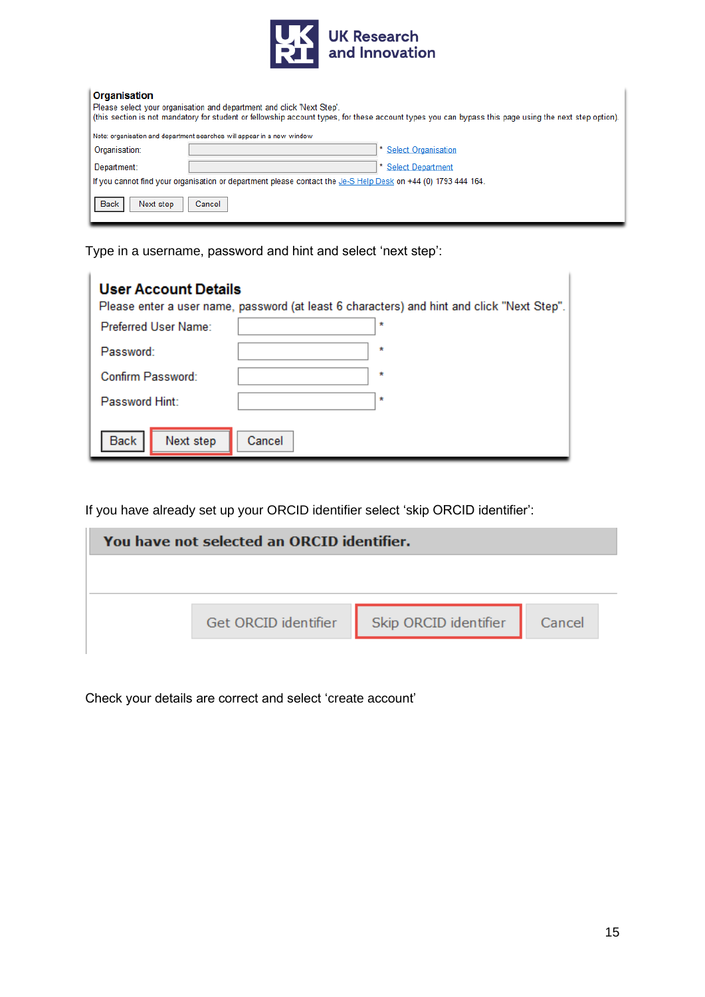

#### Organisation

| viyaməanvii                                                                                                                                           |                                                                        |  |  |  |  |
|-------------------------------------------------------------------------------------------------------------------------------------------------------|------------------------------------------------------------------------|--|--|--|--|
| Please select your organisation and department and click 'Next Step'.                                                                                 |                                                                        |  |  |  |  |
| (this section is not mandatory for student or fellowship account types, for these account types you can bypass this page using the next step option). |                                                                        |  |  |  |  |
|                                                                                                                                                       |                                                                        |  |  |  |  |
|                                                                                                                                                       | Note: organisation and department searches will appear in a new window |  |  |  |  |
| Organisation:                                                                                                                                         | <b>Select Organisation</b>                                             |  |  |  |  |
|                                                                                                                                                       |                                                                        |  |  |  |  |
| Department:                                                                                                                                           | <b>Select Department</b>                                               |  |  |  |  |
| If you cannot find your organisation or department please contact the Je-S Help Desk on +44 (0) 1793 444 164.                                         |                                                                        |  |  |  |  |
| <b>Back</b><br>Next step                                                                                                                              | Cancel                                                                 |  |  |  |  |

Type in a username, password and hint and select 'next step':

| <b>User Account Details</b><br>Preferred User Name: | Please enter a user name, password (at least 6 characters) and hint and click "Next Step".<br>× |
|-----------------------------------------------------|-------------------------------------------------------------------------------------------------|
| Password:                                           | $\star$                                                                                         |
| Confirm Password:                                   | *                                                                                               |
| Password Hint:                                      | ×                                                                                               |
| <b>Back</b><br>Next step                            | Cancel                                                                                          |

If you have already set up your ORCID identifier select 'skip ORCID identifier':

| You have not selected an ORCID identifier. |                      |                              |  |  |
|--------------------------------------------|----------------------|------------------------------|--|--|
|                                            |                      |                              |  |  |
|                                            | Get ORCID identifier | Skip ORCID identifier Cancel |  |  |
|                                            |                      |                              |  |  |

Check your details are correct and select 'create account'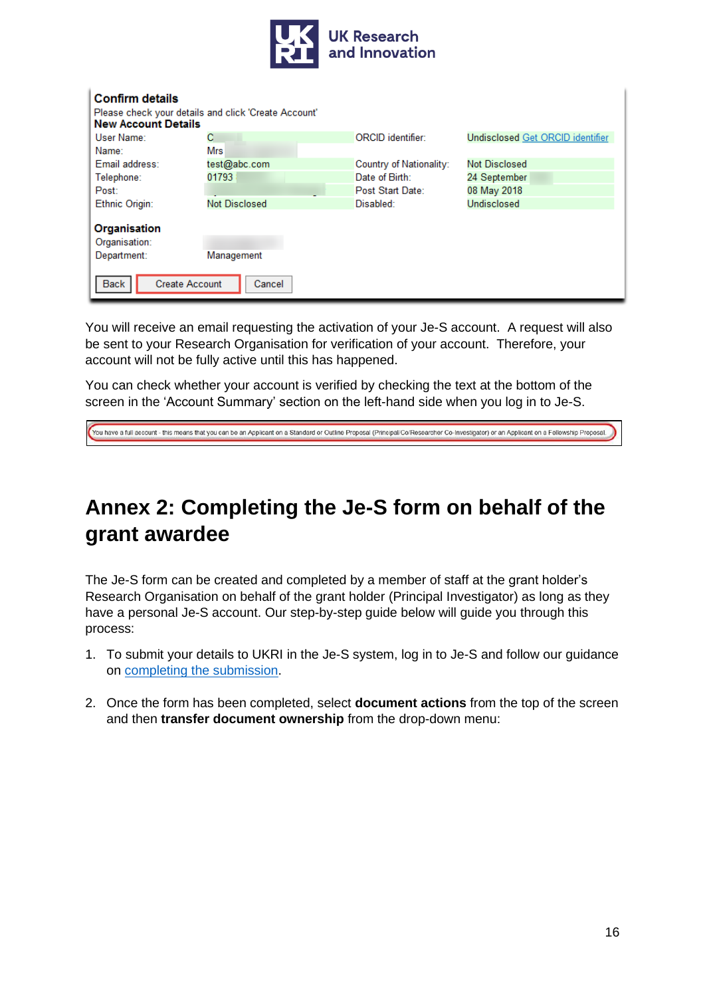

| <b>Confirm details</b>                                                             |                      |                         |                                  |  |  |
|------------------------------------------------------------------------------------|----------------------|-------------------------|----------------------------------|--|--|
| Please check your details and click 'Create Account'<br><b>New Account Details</b> |                      |                         |                                  |  |  |
| User Name:                                                                         | с                    | ORCID identifier:       | Undisclosed Get ORCID identifier |  |  |
| Name:                                                                              | <b>Mrs</b>           |                         |                                  |  |  |
| Email address:                                                                     | test@abc.com         | Country of Nationality: | Not Disclosed                    |  |  |
| Telephone:                                                                         | 01793                | Date of Birth:          | 24 September                     |  |  |
| Post:                                                                              |                      | Post Start Date:        | 08 May 2018                      |  |  |
| Ethnic Origin:                                                                     | <b>Not Disclosed</b> | Disabled:               | <b>Undisclosed</b>               |  |  |
| Organisation                                                                       |                      |                         |                                  |  |  |
| Organisation:                                                                      |                      |                         |                                  |  |  |
| Department:                                                                        | Management           |                         |                                  |  |  |
| <b>Create Account</b><br>Back<br>Cancel                                            |                      |                         |                                  |  |  |

You will receive an email requesting the activation of your Je-S account. A request will also be sent to your Research Organisation for verification of your account. Therefore, your account will not be fully active until this has happened.

You can check whether your account is verified by checking the text at the bottom of the screen in the 'Account Summary' section on the left-hand side when you log in to Je-S.

<span id="page-15-1"></span>You have a full account - this means that you can be an Applicant on a Standard or Outline Proposal (Principal/Co/Researcher Co-Investigator) or an Applicant on a Fellowship Proposal.

## <span id="page-15-0"></span>**Annex 2: Completing the Je-S form on behalf of the grant awardee**

The Je-S form can be created and completed by a member of staff at the grant holder's Research Organisation on behalf of the grant holder (Principal Investigator) as long as they have a personal Je-S account. Our step-by-step guide below will guide you through this process:

- 1. To submit your details to UKRI in the Je-S system, log in to Je-S and follow our guidance on [completing the submission.](#page-3-0)
- 2. Once the form has been completed, select **document actions** from the top of the screen and then **transfer document ownership** from the drop-down menu: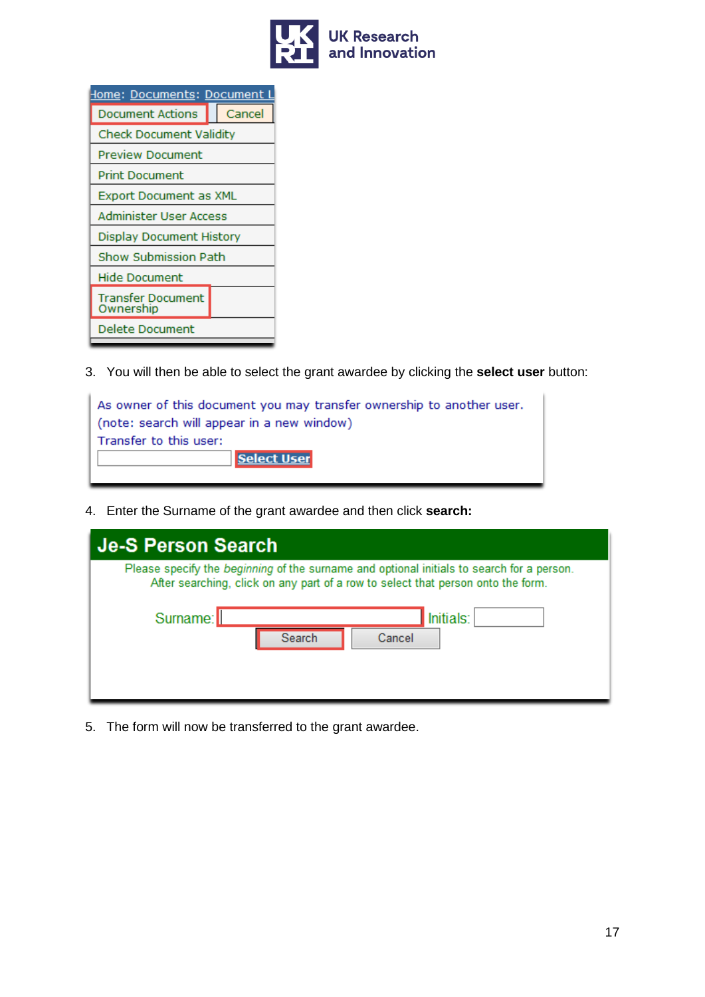

| <u>  Iome: Documents: Document </u> |        |  |
|-------------------------------------|--------|--|
| Document Actions                    | Cancel |  |
| <b>Check Document Validity</b>      |        |  |
| Preview Document                    |        |  |
| Print Document                      |        |  |
| Export Document as XML              |        |  |
| Administer User Access              |        |  |
| Display Document History            |        |  |
| Show Submission Path                |        |  |
| Hide Document                       |        |  |
| Transfer Document<br>Ownership      |        |  |
| <b>Delete Document</b>              |        |  |

3. You will then be able to select the grant awardee by clicking the **select user** button:

| As owner of this document you may transfer ownership to another user. |  |  |  |
|-----------------------------------------------------------------------|--|--|--|
| (note: search will appear in a new window)                            |  |  |  |
| Transfer to this user:                                                |  |  |  |
| <b>Select User</b>                                                    |  |  |  |
|                                                                       |  |  |  |

4. Enter the Surname of the grant awardee and then click **search:**

| <b>Je-S Person Search</b>                                                                                                                                                     |                     |  |  |
|-------------------------------------------------------------------------------------------------------------------------------------------------------------------------------|---------------------|--|--|
| Please specify the beginning of the surname and optional initials to search for a person.<br>After searching, click on any part of a row to select that person onto the form. |                     |  |  |
| Surname:<br>Search                                                                                                                                                            | Initials:<br>Cancel |  |  |

5. The form will now be transferred to the grant awardee.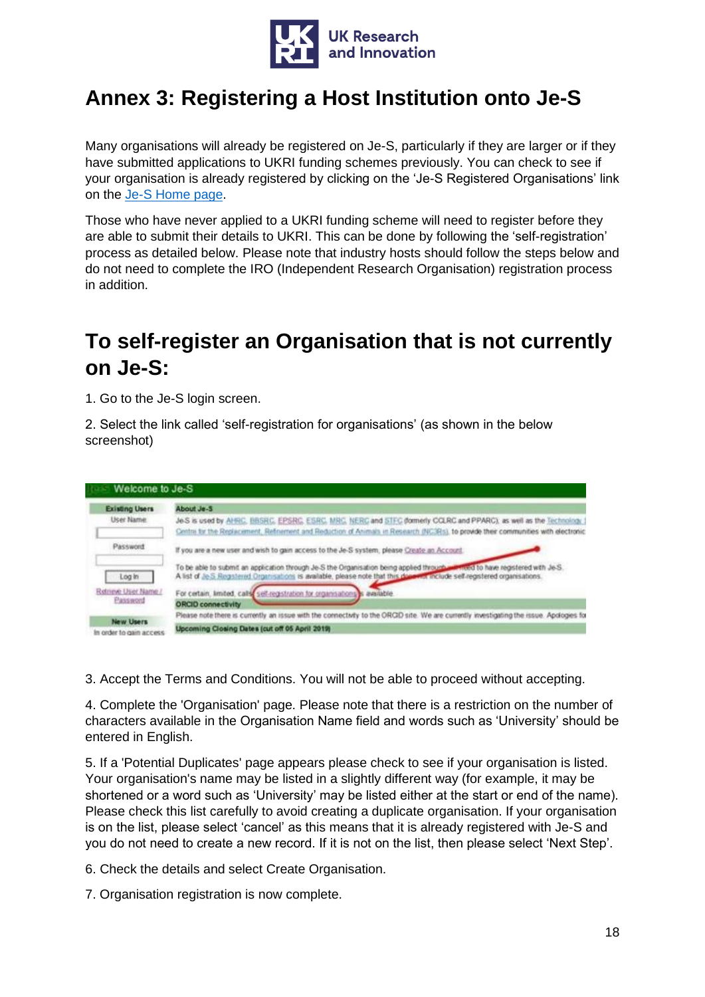

# <span id="page-17-0"></span>**Annex 3: Registering a Host Institution onto Je-S**

Many organisations will already be registered on Je-S, particularly if they are larger or if they have submitted applications to UKRI funding schemes previously. You can check to see if your organisation is already registered by clicking on the 'Je-S Registered Organisations' link on the [Je-S Home page.](https://je-s.rcuk.ac.uk/JeS2WebLoginSite/Login.aspx)

Those who have never applied to a UKRI funding scheme will need to register before they are able to submit their details to UKRI. This can be done by following the 'self-registration' process as detailed below. Please note that industry hosts should follow the steps below and do not need to complete the IRO (Independent Research Organisation) registration process in addition.

## **To self-register an Organisation that is not currently on Je-S:**

1. Go to the Je-S login screen.

2. Select the link called 'self-registration for organisations' (as shown in the below screenshot)



3. Accept the Terms and Conditions. You will not be able to proceed without accepting.

4. Complete the 'Organisation' page. Please note that there is a restriction on the number of characters available in the Organisation Name field and words such as 'University' should be entered in English.

5. If a 'Potential Duplicates' page appears please check to see if your organisation is listed. Your organisation's name may be listed in a slightly different way (for example, it may be shortened or a word such as 'University' may be listed either at the start or end of the name). Please check this list carefully to avoid creating a duplicate organisation. If your organisation is on the list, please select 'cancel' as this means that it is already registered with Je-S and you do not need to create a new record. If it is not on the list, then please select 'Next Step'.

6. Check the details and select Create Organisation.

7. Organisation registration is now complete.